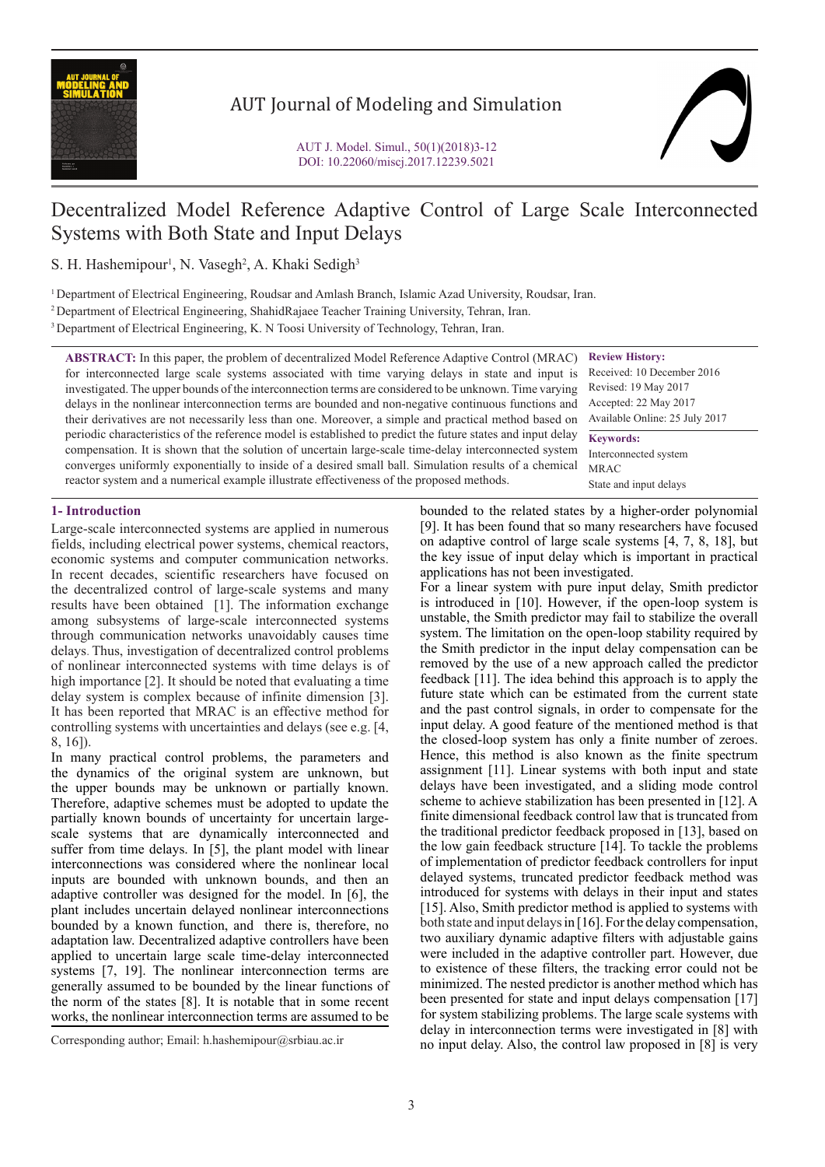

## AUT Journal of Modeling and Simulation



# Decentralized Model Reference Adaptive Control of Large Scale Interconnected Systems with Both State and Input Delays

S. H. Hashemipour<sup>1</sup>, N. Vasegh<sup>2</sup>, A. Khaki Sedigh<sup>3</sup>

1 Department of Electrical Engineering, Roudsar and Amlash Branch, Islamic Azad University, Roudsar, Iran.

2 Department of Electrical Engineering, ShahidRajaee Teacher Training University, Tehran, Iran.

3 Department of Electrical Engineering, K. N Toosi University of Technology, Tehran, Iran.

**ABSTRACT:** In this paper, the problem of decentralized Model Reference Adaptive Control (MRAC) for interconnected large scale systems associated with time varying delays in state and input is investigated. The upper bounds of the interconnection terms are considered to be unknown. Time varying delays in the nonlinear interconnection terms are bounded and non-negative continuous functions and their derivatives are not necessarily less than one. Moreover, a simple and practical method based on periodic characteristics of the reference model is established to predict the future states and input delay compensation. It is shown that the solution of uncertain large-scale time-delay interconnected system converges uniformly exponentially to inside of a desired small ball. Simulation results of a chemical reactor system and a numerical example illustrate effectiveness of the proposed methods.

**Review History:** Received: 10 December 2016 Revised: 19 May 2017

Accepted: 22 May 2017 Available Online: 25 July 2017

**Keywords:** Interconnected system MRAC State and input delays

## **1- Introduction**

Large-scale interconnected systems are applied in numerous fields, including electrical power systems, chemical reactors, economic systems and computer communication networks. In recent decades, scientific researchers have focused on the decentralized control of large-scale systems and many results have been obtained [1]. The information exchange among subsystems of large-scale interconnected systems through communication networks unavoidably causes time delays. Thus, investigation of decentralized control problems of nonlinear interconnected systems with time delays is of high importance [2]. It should be noted that evaluating a time delay system is complex because of infinite dimension [3]. It has been reported that MRAC is an effective method for controlling systems with uncertainties and delays (see e.g. [4, 8, 16]).

In many practical control problems, the parameters and the dynamics of the original system are unknown, but the upper bounds may be unknown or partially known. Therefore, adaptive schemes must be adopted to update the partially known bounds of uncertainty for uncertain largescale systems that are dynamically interconnected and suffer from time delays. In [5], the plant model with linear interconnections was considered where the nonlinear local inputs are bounded with unknown bounds, and then an adaptive controller was designed for the model. In [6], the plant includes uncertain delayed nonlinear interconnections bounded by a known function, and there is, therefore, no adaptation law. Decentralized adaptive controllers have been applied to uncertain large scale time-delay interconnected systems [7, 19]. The nonlinear interconnection terms are generally assumed to be bounded by the linear functions of the norm of the states [8]. It is notable that in some recent works, the nonlinear interconnection terms are assumed to be bounded to the related states by a higher-order polynomial [9]. It has been found that so many researchers have focused on adaptive control of large scale systems [4, 7, 8, 18], but the key issue of input delay which is important in practical applications has not been investigated.

For a linear system with pure input delay, Smith predictor is introduced in [10]. However, if the open-loop system is unstable, the Smith predictor may fail to stabilize the overall system. The limitation on the open-loop stability required by the Smith predictor in the input delay compensation can be removed by the use of a new approach called the predictor feedback [11]. The idea behind this approach is to apply the future state which can be estimated from the current state and the past control signals, in order to compensate for the input delay. A good feature of the mentioned method is that the closed-loop system has only a finite number of zeroes. Hence, this method is also known as the finite spectrum assignment [11]. Linear systems with both input and state delays have been investigated, and a sliding mode control scheme to achieve stabilization has been presented in [12]. A finite dimensional feedback control law that is truncated from the traditional predictor feedback proposed in [13], based on the low gain feedback structure [14]. To tackle the problems of implementation of predictor feedback controllers for input delayed systems, truncated predictor feedback method was introduced for systems with delays in their input and states [15]. Also, Smith predictor method is applied to systems with both state and input delays in [16]. For the delay compensation, two auxiliary dynamic adaptive filters with adjustable gains were included in the adaptive controller part. However, due to existence of these filters, the tracking error could not be minimized. The nested predictor is another method which has been presented for state and input delays compensation [17] for system stabilizing problems. The large scale systems with delay in interconnection terms were investigated in [8] with no input delay. Also, the control law proposed in [8] is very

Corresponding author; Email: h.hashemipour@srbiau.ac.ir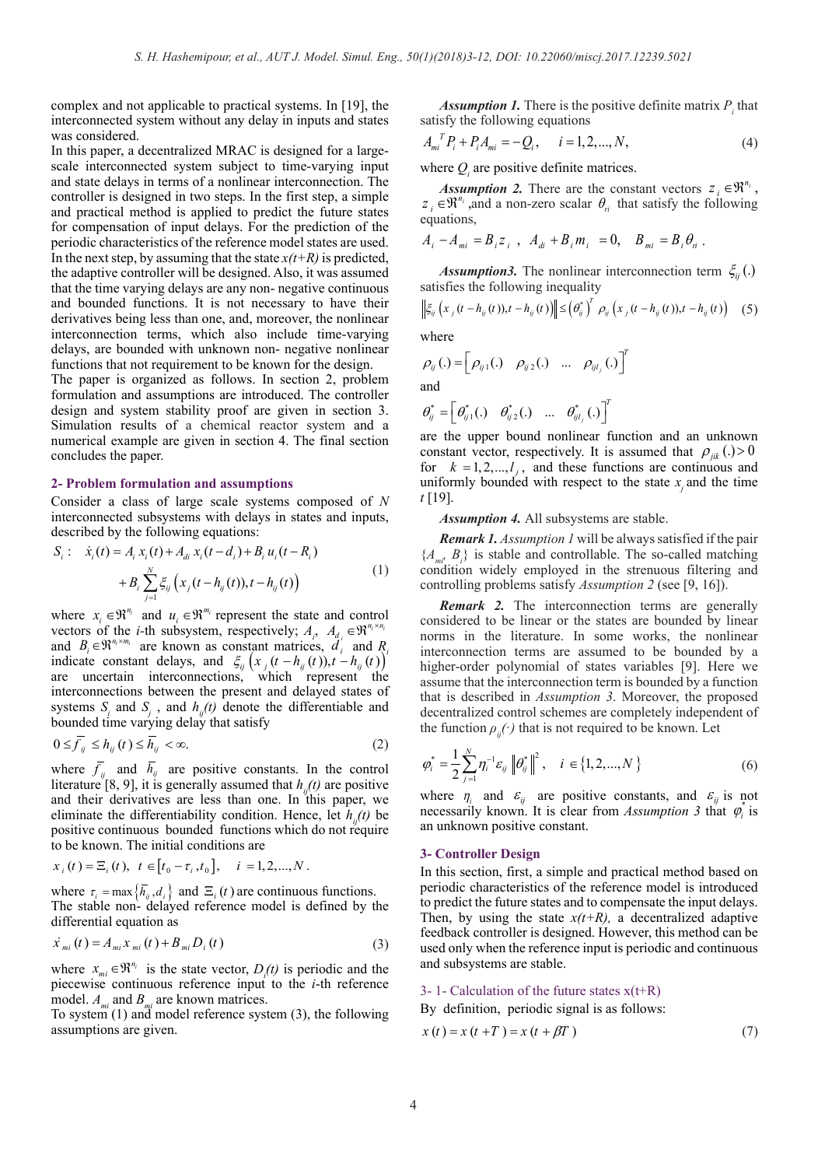complex and not applicable to practical systems. In [19], the interconnected system without any delay in inputs and states was considered.

In this paper, a decentralized MRAC is designed for a largescale interconnected system subject to time-varying input and state delays in terms of a nonlinear interconnection. The controller is designed in two steps. In the first step, a simple and practical method is applied to predict the future states for compensation of input delays. For the prediction of the periodic characteristics of the reference model states are used. In the next step, by assuming that the state  $x(t+R)$  is predicted, the adaptive controller will be designed. Also, it was assumed that the time varying delays are any non- negative continuous and bounded functions. It is not necessary to have their derivatives being less than one, and, moreover, the nonlinear interconnection terms, which also include time-varying delays, are bounded with unknown non- negative nonlinear functions that not requirement to be known for the design.

The paper is organized as follows. In section 2, problem formulation and assumptions are introduced. The controller design and system stability proof are given in section 3. Simulation results of a chemical reactor system and a numerical example are given in section 4. The final section concludes the paper.

#### **2- Problem formulation and assumptions**

Consider a class of large scale systems composed of *N* interconnected subsystems with delays in states and inputs, described by the following equations:

$$
S_i: \dot{x}_i(t) = A_i x_i(t) + A_{di} x_i(t - d_i) + B_i u_i(t - R_i) + B_i \sum_{j=1}^N \xi_{ij} (x_j(t - h_{ij}(t)), t - h_{ij}(t))
$$
(1)

where  $x_i \in \mathbb{R}^{n_i}$  and  $u_i \in \mathbb{R}^{m_i}$  represent the state and control vectors of the *i*-th subsystem, respectively;  $A_i$ ,  $A_{d_i} \in \mathbb{R}^{n_i \times n_i}$ and  $B_i \in \mathbb{R}^{n_i \times m_i}$  are known as constant matrices,  $\ddot{d}_i$  and  $R_i$ indicate constant delays, and  $\xi_{ij}$   $\left(x_j(t - h_{ij}(t))$ ,  $t - h_{ij}(t)\right)^t$  are uncertain interconnections, which represent the interconnections between the present and delayed states of systems  $S_i$  and  $S_j$ , and  $h_{ij}(t)$  denote the differentiable and bounded time varying delay that satisfy

$$
0 \le \overline{f}_{ij} \le h_{ij}(t) \le \overline{h}_{ij} < \infty. \tag{2}
$$

where  $f_{ij}$  and  $h_{ij}$  are positive constants. In the control literature [8, 9], it is generally assumed that  $h_{ij}(t)$  are positive and their derivatives are less than one. In this paper, we eliminate the differentiability condition. Hence, let  $h_n(t)$  be positive continuous bounded functions which do not require to be known. The initial conditions are

$$
x_i(t) = \Xi_i(t), \ t \in [t_0 - \tau_i, t_0], \quad i = 1, 2, ..., N.
$$

where  $\tau_i = \max\{\bar{h}_{ij}, d_i\}$  and  $\Xi_i(t)$  are continuous functions. The stable non- delayed reference model is defined by the differential equation as

$$
\dot{x}_{mi}(t) = A_{mi} x_{mi}(t) + B_{mi} D_i(t)
$$
\n(3)

where  $x_{mi} \in \mathbb{R}^{n_i}$  is the state vector,  $D_i(t)$  is periodic and the piecewise continuous reference input to the *i*-th reference model.  $A_{mi}$  and  $B_{mi}$  are known matrices.

To system (1) and model reference system (3), the following assumptions are given.

**Assumption 1.** There is the positive definite matrix  $P_i$  that satisfy the following equations

$$
A_{mi}^T P_i + P_i A_{mi} = -Q_i, \quad i = 1, 2, ..., N,
$$
 (4)

where  $Q_i$  are positive definite matrices.

*Assumption 2.* There are the constant vectors  $z_i \in \mathbb{R}^{n_i}$ ,  $z_i \in \mathbb{R}^{n_i}$ , and a non-zero scalar  $\theta_{ni}$  that satisfy the following equations,

$$
A_{i} - A_{mi} = B_{i} z_{i} , A_{di} + B_{i} m_{i} = 0, B_{mi} = B_{i} \theta_{ri} .
$$

*Assumption3.* The nonlinear interconnection term  $\zeta_{ii}(.)$ satisfies the following inequality

$$
\left\|\xi_{ij}\left(x_j\left(t-h_{ij}\left(t\right)\right),t-h_{ij}\left(t\right)\right)\right\|\leq \left(\theta_{ij}^*\right)^T\rho_{ij}\left(x_j\left(t-h_{ij}\left(t\right)\right),t-h_{ij}\left(t\right)\right)\quad \left(5\right)
$$

where

$$
\rho_{ij}(.)=\begin{bmatrix}\rho_{ij1}(.) & \rho_{ij2}(.) & \dots & \rho_{ijl_j}(.)\end{bmatrix}^T
$$
  
and

$$
\boldsymbol{\theta}_{ij}^* = \begin{bmatrix} \boldsymbol{\theta}_{ij1}^* (.) & \boldsymbol{\theta}_{ij2}^* (.) & \dots & \boldsymbol{\theta}_{ijl_j}^* (.) \end{bmatrix}^T
$$

are the upper bound nonlinear function and an unknown constant vector, respectively. It is assumed that  $\rho_{ijk}(.)>0$ for  $k = 1, 2, \dots, l_i$ , and these functions are continuous and uniformly bounded with respect to the state  $x_i$  and the time *t* [19].

*Assumption 4.* All subsystems are stable.

*Remark 1. Assumption 1* will be always satisfied if the pair  ${A_{m_i}, B_i}$  is stable and controllable. The so-called matching condition widely employed in the strenuous filtering and controlling problems satisfy *Assumption 2* (see [9, 16]).

*Remark 2.* The interconnection terms are generally considered to be linear or the states are bounded by linear norms in the literature. In some works, the nonlinear interconnection terms are assumed to be bounded by a higher-order polynomial of states variables [9]. Here we assume that the interconnection term is bounded by a function that is described in *Assumption 3*. Moreover, the proposed decentralized control schemes are completely independent of the function  $\rho$ <sub>*ii*</sub>( $\cdot$ ) that is not required to be known. Let

$$
\varphi_i^* = \frac{1}{2} \sum_{j=1}^N \eta_i^{-1} \varepsilon_{ij} \left\| \theta_{ij}^* \right\|^2, \quad i \in \{1, 2, ..., N\}
$$
 (6)

where  $\eta_i$  and  $\varepsilon_{ij}$  are positive constants, and  $\varepsilon_{ij}$  is not necessarily known. It is clear from *Assumption 3* that  $\varphi$ <sup>*i*</sup> is an unknown positive constant.

#### **3- Controller Design**

In this section, first, a simple and practical method based on periodic characteristics of the reference model is introduced to predict the future states and to compensate the input delays. Then, by using the state  $x(t+R)$ , a decentralized adaptive feedback controller is designed. However, this method can be used only when the reference input is periodic and continuous and subsystems are stable.

#### 3- 1- Calculation of the future states  $x(t+R)$

By definition, periodic signal is as follows:

$$
x(t) = x(t+T) = x(t+\beta T)
$$
\n(7)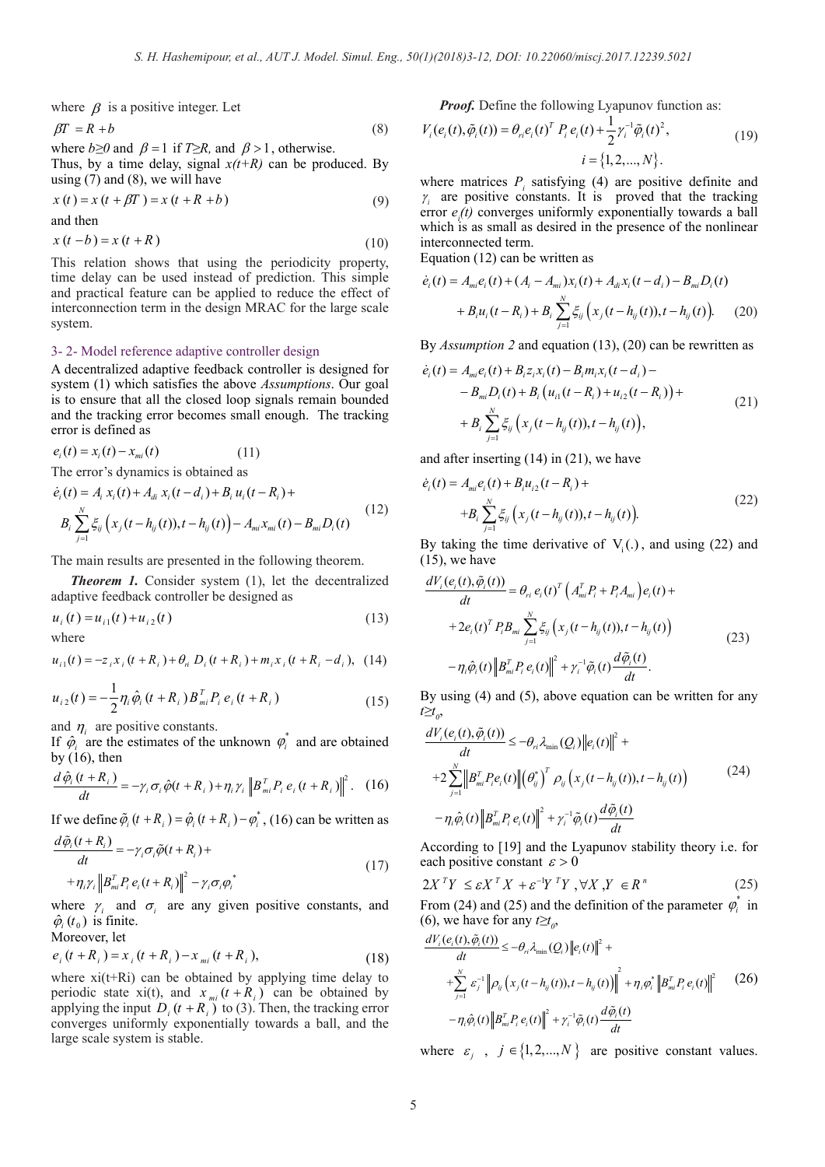where  $\beta$  is a positive integer. Let

$$
\beta T = R + b \tag{8}
$$

where  $b \ge 0$  and  $\beta = 1$  if  $T \ge R$ , and  $\beta > 1$ , otherwise.

Thus, by a time delay, signal  $x(t+R)$  can be produced. By using  $(7)$  and  $(8)$ , we will have

$$
x(t) = x(t + \beta T) = x(t + R + b)
$$
\n(9)

and then

 $x(t - b) = x(t + R)$  (10)

This relation shows that using the periodicity property, time delay can be used instead of prediction. This simple and practical feature can be applied to reduce the effect of interconnection term in the design MRAC for the large scale system.

#### 3- 2- Model reference adaptive controller design

A decentralized adaptive feedback controller is designed for system (1) which satisfies the above *Assumptions*. Our goal is to ensure that all the closed loop signals remain bounded and the tracking error becomes small enough. The tracking error is defined as

$$
e_i(t) = x_i(t) - x_{mi}(t) \tag{11}
$$

The error's dynamics is obtained as

$$
\dot{e}_i(t) = A_i x_i(t) + A_{di} x_i(t - d_i) + B_i u_i(t - R_i) +
$$
\n
$$
B_i \sum_{j=1}^N \xi_{ij} (x_j(t - h_{ij}(t)), t - h_{ij}(t)) - A_{mi} x_{mi}(t) - B_{mi} D_i(t)
$$
\n(12)

The main results are presented in the following theorem.

*Theorem 1.* Consider system (1), let the decentralized adaptive feedback controller be designed as

$$
u_i(t) = u_{i1}(t) + u_{i2}(t)
$$
\n(13)

where

$$
u_{i1}(t) = -z_i x_i (t + R_i) + \theta_n D_i (t + R_i) + m_i x_i (t + R_i - d_i), \quad (14)
$$

$$
u_{i2}(t) = -\frac{1}{2}\eta_i \hat{\varphi}_i (t + R_i) B_{mi}^T P_i e_i (t + R_i)
$$
\n(15)

and  $\eta_i$  are positive constants.

If  $\hat{\varphi}$  are the estimates of the unknown  $\varphi$ <sup>*i*</sup> and are obtained by  $(16)$ , then

$$
\frac{d\hat{\varphi}_i(t+R_i)}{dt} = -\gamma_i \sigma_i \hat{\varphi}(t+R_i) + \eta_i \gamma_i \left\| B_{mi}^T P_i e_i(t+R_i) \right\|^2. \tag{16}
$$

If we define  $\tilde{\varphi}_i(t + R_i) = \hat{\varphi}_i(t + R_i) - \varphi_i^*$ , (16) can be written as  $+$   $+$   $+$ 

$$
\frac{d\tilde{\varphi}_i(t+R_i)}{dt} = -\gamma_i \sigma_i \tilde{\varphi}(t+R_i) +
$$
  
+
$$
\eta_i \gamma_i \left\| B_{mi}^T P_i e_i(t+R_i) \right\|^2 - \gamma_i \sigma_i \varphi_i^*
$$
 (17)

where  $\gamma_i$  and  $\sigma_i$  are any given positive constants, and  $\hat{\varphi}_i(t_0)$  is finite.

Moreover, let

$$
e_i(t + R_i) = x_i(t + R_i) - x_{mi}(t + R_i),
$$
\n(18)

where  $xi(t+Ri)$  can be obtained by applying time delay to periodic state xi(t), and  $x_{mi}$   $(t + R_i)$  can be obtained by applying the input  $D_i(t + R_i^m)$  to (3). Then, the tracking error converges uniformly exponentially towards a ball, and the large scale system is stable.

*Proof.* Define the following Lyapunov function as:

$$
V_i(e_i(t), \tilde{\varphi}_i(t)) = \theta_{ri} e_i(t)^T P_i e_i(t) + \frac{1}{2} \gamma_i^{-1} \tilde{\varphi}_i(t)^2,
$$
  
\n
$$
i = \{1, 2, ..., N\}.
$$
 (19)

where matrices  $P_i$  satisfying (4) are positive definite and  $\gamma$  are positive constants. It is proved that the tracking error  $e_i(t)$  converges uniformly exponentially towards a ball which is as small as desired in the presence of the nonlinear interconnected term.

Equation (12) can be written as

$$
\dot{e}_i(t) = A_{mi}e_i(t) + (A_i - A_{mi})x_i(t) + A_{di}x_i(t - d_i) - B_{mi}D_i(t) + B_iu_i(t - R_i) + B_i\sum_{j=1}^N \xi_{ij}(x_j(t - h_{ij}(t)), t - h_{ij}(t)).
$$
 (20)

By *Assumption 2* and equation (13), (20) can be rewritten as

$$
\dot{e}_i(t) = A_{mi}e_i(t) + B_i z_i x_i(t) - B_i m_i x_i(t - d_i) -- B_{mi}D_i(t) + B_i (u_{i1}(t - R_i) + u_{i2}(t - R_i)) ++ B_i \sum_{j=1}^N \xi_{ij} (x_j(t - h_{ij}(t)), t - h_{ij}(t)),
$$
\n(21)

and after inserting (14) in (21), we have

$$
\dot{e}_i(t) = A_{mi} e_i(t) + B_i u_{i2}(t - R_i) ++ B_i \sum_{j=1}^N \xi_{ij} (x_j(t - h_{ij}(t)), t - h_{ij}(t)).
$$
\n(22)

By taking the time derivative of  $V_1(.)$ , and using (22) and  $(15)$ , we have

$$
\frac{dV_i(e_i(t), \tilde{\varphi}_i(t))}{dt} = \theta_{ri} e_i(t)^T \left( A_{mi}^T P_i + P_i A_{mi} \right) e_i(t) +
$$
  
+2e\_i(t)^T P\_i B\_{mi} \sum\_{j=1}^N \xi\_{ij} \left( x\_j(t - h\_{ij}(t)), t - h\_{ij}(t) \right)   
- \eta\_i \hat{\varphi}\_i(t) \left\| B\_{mi}^T P\_i e\_i(t) \right\|^2 + \gamma\_i^{-1} \tilde{\varphi}\_i(t) \frac{d \tilde{\varphi}\_i(t)}{dt}. (23)

By using (4) and (5), above equation can be written for any *t≥t*<sub>0</sub>,

$$
\frac{dV_i(e_i(t), \tilde{\varphi}_i(t))}{dt} \le -\theta_{ri} \lambda_{\min}(Q_i) \|e_i(t)\|^2 +
$$
  
+2
$$
\sum_{j=1}^N \left\|B_{mi}^T P_i e_i(t) \right\| \left(\theta_j^*\right)^T \rho_{ij} \left(x_j(t - h_{ij}(t)), t - h_{ij}(t)\right)
$$
  
-
$$
\eta_i \hat{\varphi}_i(t) \left\|B_{mi}^T P_i e_i(t)\right\|^2 + \gamma_i^{-1} \tilde{\varphi}_i(t) \frac{d \tilde{\varphi}_i(t)}{dt}
$$
\n(24)

According to [19] and the Lyapunov stability theory i.e. for each positive constant  $\varepsilon > 0$ 

$$
2X^T Y \le \varepsilon X^T X + \varepsilon^{-1} Y^T Y, \forall X, Y \in R^n
$$
 (25)

From (24) and (25) and the definition of the parameter  $\varphi$ <sup>*i*</sup> in (6), we have for any  $t \geq t_0$ ,

$$
\frac{dV_i(e_i(t), \tilde{\varphi}_i(t))}{dt} \leq -\theta_{ri} \lambda_{\min}(Q_i) ||e_i(t)||^2 +
$$
\n
$$
+ \sum_{j=1}^N \varepsilon_j^{-1} ||\rho_{ij}(x_j(t - h_{ij}(t)), t - h_{ij}(t))||^2 + \eta_i \varphi_i^* ||B_{mi}^T P_i e_i(t)||^2
$$
\n
$$
- \eta_i \hat{\varphi}_i(t) ||B_{mi}^T P_i e_i(t)||^2 + \gamma_i^{-1} \tilde{\varphi}_i(t) \frac{d \tilde{\varphi}_i(t)}{dt}
$$
\n(26)

where  $\varepsilon$ ,  $j \in \{1, 2, ..., N\}$  are positive constant values.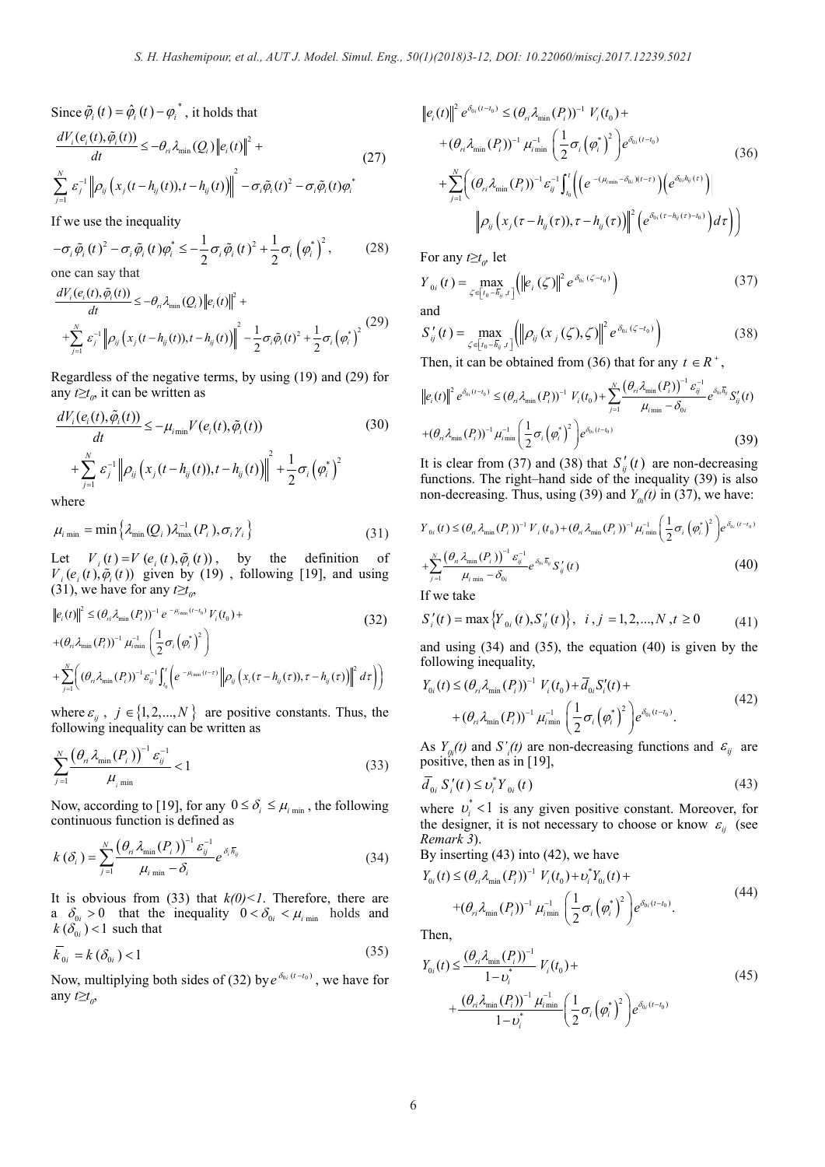Since  $\tilde{\varphi}_i(t) = \hat{\varphi}_i(t) - \varphi_i^*$ , it holds that

$$
\frac{dV_i(e_i(t), \tilde{\varphi}_i(t))}{dt} \le -\theta_{ri} \lambda_{\min}(Q_i) \|e_i(t)\|^2 +
$$
\n
$$
\sum_{j=1}^N \varepsilon_j^{-1} \| \rho_{ij} (x_j(t - h_{ij}(t)), t - h_{ij}(t)) \|_{\infty}^2 - \sigma_i \tilde{\varphi}_i(t)^2 - \sigma_i \tilde{\varphi}_i(t) \varphi_i^*
$$
\n(27)

If we use the inequality

$$
-\sigma_i \tilde{\varphi}_i(t)^2 - \sigma_i \tilde{\varphi}_i(t) \varphi_i^* \le -\frac{1}{2} \sigma_i \tilde{\varphi}_i(t)^2 + \frac{1}{2} \sigma_i \left(\varphi_i^*\right)^2, \tag{28}
$$

one can say that  $JU \left( \cdot \right) \left( \Delta \right) \approx \left( \Delta \right)$ 

$$
\frac{dV_i(e_i(t), \tilde{\varphi}_i(t))}{dt} \leq -\theta_{ri} \lambda_{\min}(Q_i) \|e_i(t)\|^2 +
$$
\n
$$
+ \sum_{j=1}^N \varepsilon_j^{-1} \left\| \rho_{ij} \left( x_j(t - h_{ij}(t)), t - h_{ij}(t) \right) \right\|^2 - \frac{1}{2} \sigma_i \tilde{\varphi}_i(t)^2 + \frac{1}{2} \sigma_i \left( \varphi_i^* \right)^2 \tag{29}
$$

Regardless of the negative terms, by using (19) and (29) for any  $t \geq t_o$ , it can be written as

$$
\frac{dV_i(e_i(t), \tilde{\varphi}_i(t))}{dt} \le -\mu_{\min} V(e_i(t), \tilde{\varphi}_i(t))
$$
\n
$$
+ \sum_{j=1}^N \varepsilon_j^{-1} \left\| \rho_{ij} \left( x_j(t - h_{ij}(t)), t - h_{ij}(t) \right) \right\|^2 + \frac{1}{2} \sigma_i \left( \varphi_i^* \right)^2
$$
\nwhere

where

$$
\mu_{i \min} = \min \left\{ \lambda_{\min}(Q_i) \lambda_{\max}^{-1}(P_i), \sigma_i \gamma_i \right\}
$$
\n(31)

Let  $V_i(t) = V(e_i(t), \tilde{\varphi}_i(t))$ , by the definition of  $V_i(e_i(t), \tilde{\varphi}_i(t))$  given by (19), following [19], and using (31), we have for any  $t \geq t_0$ ,

$$
\|e_i(t)\|^2 \leq (\theta_{ri} \lambda_{\min}(P_i))^{-1} e^{-\mu_{\min}(t-t_0)} V_i(t_0) +
$$
  
+ 
$$
(\theta_{ri} \lambda_{\min}(P_i))^{-1} \mu_{\min}^{-1} \left(\frac{1}{2} \sigma_i \left(\phi_i^*\right)^2\right)
$$
  
+ 
$$
\sum_{j=1}^N \left((\theta_{ri} \lambda_{\min}(P_i))^{-1} \varepsilon_{ij}^{-1} \int_{t_0}^t \left(e^{-\mu_{\min}(t-\tau)} \left\|\rho_{ij}\left(x_i(\tau - h_{ij}(\tau))\right,\tau - h_{ij}(\tau)\right)\right\|^2 d\tau\right)
$$

where  $\varepsilon_{ij}$ ,  $j \in \{1, 2, ..., N\}$  are positive constants. Thus, the following inequality can be written as

$$
\sum_{j=1}^{N} \frac{\left(\theta_{ri} \lambda_{\min} (P_i)\right)^{-1} \varepsilon_{ij}^{-1}}{\mu_{i \min}} < 1
$$
\n(33)

Now, according to [19], for any  $0 \leq \delta_i \leq \mu_{i_{\text{min}}}$ , the following continuous function is defined as

$$
k\left(\delta_{i}\right) = \sum_{j=1}^{N} \frac{\left(\theta_{i} \lambda_{\min}\left(P_{i}\right)\right)^{-1} \varepsilon_{ij}^{-1}}{\mu_{i \min} - \delta_{i}} e^{\delta_{i} \overline{h}_{ij}}
$$
(34)

It is obvious from (33) that  $k(0) < 1$ . Therefore, there are a  $\delta_{0i} > 0$  that the inequality  $0 < \delta_{0i} < \mu_{i \text{ min}}$  holds and  $k(\delta_{0i})$  < 1 such that

$$
\overline{k}_{0i} = k\left(\delta_{0i}\right) < 1\tag{35}
$$

Now, multiplying both sides of (32) by  $e^{\delta_{0i}(t-t_0)}$ , we have for any  $t \geq t_0$ ,

it holds that  
\n
$$
\|e_i(t)\|^2 e^{\delta_{0i}(t-t_0)} \leq (\theta_{ri} \lambda_{\min}(P_i))^{-1} V_i(t_0) +
$$
\n
$$
+ (\theta_{ri} \lambda_{\min}(P_i))^{-1} \mu_{\min}^{-1} \left(\frac{1}{2} \sigma_i \left(\phi_i^*\right)^2\right) e^{\delta_{0i}(t-t_0)}
$$
\n
$$
- h_{ij}(t) \Big\|^2 - \sigma_i \tilde{\phi}_i(t)^2 - \sigma_i \tilde{\phi}_i(t) \phi_i^* + \sum_{j=1}^N \left( (\theta_{ri} \lambda_{\min}(P_i))^{-1} \varepsilon_{ij}^{-1} \int_{t_0}^t \left( \left(e^{-(\mu_{\min} - \delta_{0i})(t-\tau)}\right) \left(e^{\delta_{0i} h_{ij}(t)}\right) \right) \Big\|^2
$$
\n
$$
+ \rho_{ij}(t) \int_0^2 \left( \int_{t_0}^2 \left( \int_{t_0}^2 \left( \int_{t_0}^2 \left( \int_{t_0}^2 \left( \int_{t_0}^2 \left( \int_{t_0}^2 \left( \int_{t_0}^2 \left( \int_{t_0}^2 \left( \int_{t_0}^2 \left( \int_{t_0}^2 \right) \right) \right) \right) \right) \right) \right) dt \right)
$$
\n
$$
+ \rho_{ij}(t) \int_0^2 \left( \int_{t_0}^2 \left( \int_{t_0}^2 \left( \int_{t_0}^2 \left( \int_{t_0}^2 \left( \int_{t_0}^2 \left( \int_{t_0}^2 \left( \int_{t_0}^2 \left( \int_{\left( \frac{1}{2} \left( \int_{t_0}^2 \left( \int_{\left( \frac{1}{2} \right) \left( \int_{\left( \frac{1}{2} \left( \int_{\left( \frac{1}{2} \right) \left( \int_{\left( \frac{1}{2} \right) \left( \int_{\left( \frac{1}{2} \right) \left( \int_{\left( \frac{1}{2} \right) \left( \int_{\left( \frac{1}{2} \right) \left( \int_{\left( \frac{1}{2} \right) \left( \int_{\left( \frac{1}{2} \right) \left
$$

For any  $t \geq t_{0}$ , let

$$
Y_{0i}(t) = \max_{\zeta \in [t_0 - \overline{h}_{ij}, t]} \left( \left\| e_i(\zeta) \right\|^2 e^{\delta_{0i}(\zeta - t_0)} \right)
$$
(37)

and

$$
S'_{ij}(t) = \max_{\zeta \in [t_0 - \overline{h}_{ij}, t]} \left( \left\| \rho_{ij} \left( x_j \left( \zeta \right), \zeta \right) \right\|^2 e^{\delta_{0i} \left( \zeta - t_0 \right)} \right)
$$
(38)

Then, it can be obtained from (36) that for any  $t \in R^+$ ,

$$
\|e_{i}(t)\|^{2} e^{\delta_{0i}(t-t_{0})} \leq (\theta_{ri} \lambda_{\min}(P_{i}))^{-1} V_{i}(t_{0}) + \sum_{j=1}^{N} \frac{(\theta_{ri} \lambda_{\min}(P_{i}))^{-1} \varepsilon_{ij}^{-1}}{\mu_{i_{\min}} - \delta_{0i}} e^{\delta_{0i} \bar{h}_{ij}} S'_{ij}(t)
$$
  
+
$$
(\theta_{ri} \lambda_{\min}(P_{i}))^{-1} \mu_{i_{\min}}^{-1} \left(\frac{1}{2} \sigma_{i}(\varphi_{i}^{*})^{2}\right) e^{\delta_{0i}(t-t_{0})}
$$
(39)

It is clear from (37) and (38) that  $S_i'(t)$  are non-decreasing functions. The right–hand side of the inequality (39) is also non-decreasing. Thus, using (39) and  $Y_0(t)$  in (37), we have:

$$
Y_{0i}(t) \leq (\theta_{ri} \lambda_{\min}(P_i))^{-1} V_i(t_0) + (\theta_{ri} \lambda_{\min}(P_i))^{-1} \mu_{i \min}^{-1} \left(\frac{1}{2} \sigma_i \left(\phi_i^*\right)^2\right) e^{\delta_{0i} (t-t_0)}
$$

$$
+ \sum_{j=1}^N \frac{\left(\theta_{ri} \lambda_{\min}(P_i)\right)^{-1} \varepsilon_{ij}^{-1}}{\mu_{i \min} - \delta_{0i}} e^{\delta_{0i} \overline{h}_{ij}} S'_{ij}(t) \tag{40}
$$

If we take

$$
S'_{i}(t) = \max \left\{ Y_{0i}(t), S'_{ij}(t) \right\}, \quad i, j = 1, 2, ..., N, t \ge 0 \tag{41}
$$

and using (34) and (35), the equation (40) is given by the following inequality,

$$
Y_{0i}(t) \leq (\theta_{ri} \lambda_{\min}(P_i))^{-1} V_i(t_0) + \overline{d}_{0i} S'_i(t) +
$$
  
+  $(\theta_{ri} \lambda_{\min}(P_i))^{-1} \mu_{i_{\min}}^{-1} \left(\frac{1}{2} \sigma_i \left(\phi_i^*\right)^2\right) e^{\delta_{0i}(t-t_0)}.$  (42)

As  $Y_{0i}(t)$  and  $S'_{i}(t)$  are non-decreasing functions and  $\varepsilon_{ij}$  are positive, then as in [19],

$$
\bar{d}_{0i} S_i'(t) \le v_i^* Y_{0i}(t)
$$
\n(43)

where  $v_i^*$  < 1 is any given positive constant. Moreover, for the designer, it is not necessary to choose or know  $\varepsilon_{ij}$  (see *Remark 3*).

By inserting (43) into (42), we have

$$
Y_{0i}(t) \leq (\theta_{ri} \lambda_{\min}(P_i))^{-1} V_i(t_0) + \nu_i^* Y_{0i}(t) +
$$
  
+ 
$$
(\theta_{ri} \lambda_{\min}(P_i))^{-1} \mu_{i_{\min}}^{-1} \left(\frac{1}{2} \sigma_i \left(\phi_i^*\right)^2\right) e^{\delta_{0i}(t-t_0)}.
$$
 (44)

Then,

$$
Y_{0i}(t) \leq \frac{(\theta_{ri} \lambda_{\min}(P_i))^{-1}}{1 - \nu_i^*} V_i(t_0) +
$$
  
+ 
$$
\frac{(\theta_{ri} \lambda_{\min}(P_i))^{-1} \mu_{\min}^{-1}}{1 - \nu_i^*} \left(\frac{1}{2} \sigma_i (\varphi_i^*)^2\right) e^{\delta_{0i}(t - t_0)}
$$
(45)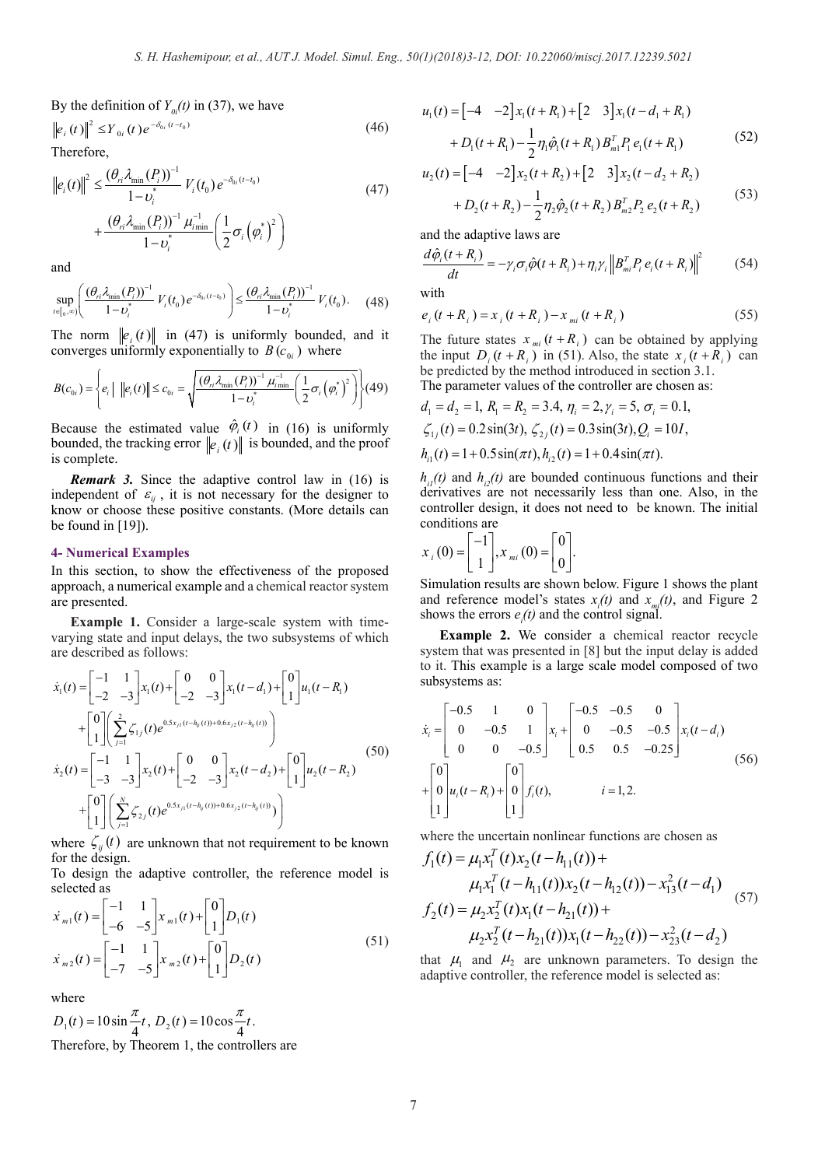By the definition of  $Y_{0i}(t)$  in (37), we have

$$
\left\| e_i(t) \right\|^2 \le Y_{0i}(t) e^{-\delta_{0i}(t-t_0)} \tag{46}
$$

Therefore,

$$
\|e_i(t)\|^2 \leq \frac{(\theta_n \lambda_{\min}(P_i))^{-1}}{1 - \nu_i^*} V_i(t_0) e^{-\delta_{0i}(t - t_0)} + \frac{(\theta_n \lambda_{\min}(P_i))^{-1} \mu_{i\min}^{-1}}{1 - \nu_i^*} \left(\frac{1}{2} \sigma_i \left(\varphi_i^*\right)^2\right)
$$
\n(47)

and

$$
\sup_{t \in [0,\infty)} \left( \frac{(\theta_{ri} \lambda_{\min}(P_i))^{-1}}{1 - v_i^*} V_i(t_0) e^{-\delta_{0i}(t - t_0)} \right) \le \frac{(\theta_{ri} \lambda_{\min}(P_i))^{-1}}{1 - v_i^*} V_i(t_0). \tag{48}
$$

The norm  $||e_i(t)||$  in (47) is uniformly bounded, and it converges uniformly exponentially to  $B(c_{0i})$  where

$$
B(c_{0i}) = \left\{ e_i \mid ||e_i(t)|| \le c_{0i} = \sqrt{\frac{(\theta_{ri} \lambda_{\min}(P_i))^{-1} \mu_{i_{\min}}^{-1}}{1 - \nu_i^{*}} \left( \frac{1}{2} \sigma_i \left( \varphi_i^{*} \right)^2 \right)} \right\} (49)
$$

Because the estimated value  $\hat{\varphi}_i(t)$  in (16) is uniformly bounded, the tracking error  $||e_i(t)||$  is bounded, and the proof is complete.

*Remark 3.* Since the adaptive control law in (16) is independent of  $\varepsilon_{ij}$ , it is not necessary for the designer to know or choose these positive constants. (More details can be found in [19]).

#### **4- Numerical Examples**

In this section, to show the effectiveness of the proposed approach, a numerical example and a chemical reactor system are presented.

**Example 1.** Consider a large-scale system with timevarying state and input delays, the two subsystems of which are described as follows:

$$
\dot{x}_1(t) = \begin{bmatrix} -1 & 1 \\ -2 & -3 \end{bmatrix} x_1(t) + \begin{bmatrix} 0 & 0 \\ -2 & -3 \end{bmatrix} x_1(t - d_1) + \begin{bmatrix} 0 \\ 1 \end{bmatrix} u_1(t - R_1)
$$
  
+ 
$$
\begin{bmatrix} 0 \\ 1 \end{bmatrix} \left( \sum_{j=1}^2 \zeta_{1j}(t) e^{0.5x_{j1}(t - h_y(t)) + 0.6x_{j2}(t - h_y(t))} \right)
$$
  

$$
\dot{x}_2(t) = \begin{bmatrix} -1 & 1 \\ -3 & -3 \end{bmatrix} x_2(t) + \begin{bmatrix} 0 & 0 \\ -2 & -3 \end{bmatrix} x_2(t - d_2) + \begin{bmatrix} 0 \\ 1 \end{bmatrix} u_2(t - R_2)
$$
  
+ 
$$
\begin{bmatrix} 0 \\ 1 \end{bmatrix} \left( \sum_{j=1}^N \zeta_{2j}(t) e^{0.5x_{j1}(t - h_y(t)) + 0.6x_{j2}(t - h_y(t))} \right)
$$
 (50)

where  $\zeta_{ii}(t)$  are unknown that not requirement to be known for the design.

To design the adaptive controller, the reference model is selected as

$$
\dot{x}_{m1}(t) = \begin{bmatrix} -1 & 1 \\ -6 & -5 \end{bmatrix} x_{m1}(t) + \begin{bmatrix} 0 \\ 1 \end{bmatrix} D_1(t)
$$
\n
$$
\dot{x}_{m2}(t) = \begin{bmatrix} -1 & 1 \\ -7 & -5 \end{bmatrix} x_{m2}(t) + \begin{bmatrix} 0 \\ 1 \end{bmatrix} D_2(t)
$$
\n(51)

where

$$
D_1(t) = 10\sin\frac{\pi}{4}t, D_2(t) = 10\cos\frac{\pi}{4}t.
$$
  
Therefore, by Theorem 1, the controllers are

$$
u_1(t) = \begin{bmatrix} -4 & -2 \end{bmatrix} x_1(t+R_1) + \begin{bmatrix} 2 & 3 \end{bmatrix} x_1(t-d_1 + R_1)
$$
  
+ 
$$
D_1(t+R_1) - \frac{1}{2} \eta_1 \hat{\varphi}_1(t+R_1) B_m^T P_1 e_1(t+R_1)
$$
 (52)

$$
u_2(t) = \begin{bmatrix} -4 & -2 \end{bmatrix} x_2(t+R_2) + \begin{bmatrix} 2 & 3 \end{bmatrix} x_2(t-d_2 + R_2) + D_2(t+R_2) - \frac{1}{2} \eta_2 \hat{\varphi}_2(t+R_2) B_{m2}^T P_2 e_2(t+R_2)
$$
 (53)

and the adaptive laws are

$$
\frac{d\hat{\varphi}_i(t+R_i)}{dt} = -\gamma_i \sigma_i \hat{\varphi}(t+R_i) + \eta_i \gamma_i \left\| B_{mi}^T P_i e_i(t+R_i) \right\|^2 \tag{54}
$$

with

$$
e_i(t + R_i) = x_i(t + R_i) - x_{mi}(t + R_i)
$$
\n(55)

The future states  $x_{mi}$   $(t + R_i)$  can be obtained by applying the input  $D_i(t + R_i)$  in (51). Also, the state  $x_i(t + R_i)$  can be predicted by the method introduced in section 3.1. The parameter values of the controller are chosen as:

$$
d_1 = d_2 = 1, R_1 = R_2 = 3.4, \eta_i = 2, \gamma_i = 5, \sigma_i = 0.1,
$$
  
\n
$$
\zeta_{1j}(t) = 0.2 \sin(3t), \zeta_{2j}(t) = 0.3 \sin(3t), Q_i = 10I,
$$
  
\n
$$
h_{i1}(t) = 1 + 0.5 \sin(\pi t), h_{i2}(t) = 1 + 0.4 \sin(\pi t).
$$

 $h_{ij}(t)$  and  $h_{ij}(t)$  are bounded continuous functions and their derivatives are not necessarily less than one. Also, in the controller design, it does not need to be known. The initial conditions are

$$
x_{i}\left(0\right) = \begin{bmatrix} -1\\1 \end{bmatrix}, x_{mi}\left(0\right) = \begin{bmatrix} 0\\0 \end{bmatrix}.
$$

Simulation results are shown below. Figure 1 shows the plant and reference model's states  $x_i(t)$  and  $x_{mi}(t)$ , and Figure 2 shows the errors  $e_i(t)$  and the control signal.

**Example 2.** We consider a chemical reactor recycle system that was presented in [8] but the input delay is added to it. This example is a large scale model composed of two subsystems as:

$$
\dot{x}_i = \begin{bmatrix} -0.5 & 1 & 0 \\ 0 & -0.5 & 1 \\ 0 & 0 & -0.5 \end{bmatrix} x_i + \begin{bmatrix} -0.5 & -0.5 & 0 \\ 0 & -0.5 & -0.5 \\ 0.5 & 0.5 & -0.25 \end{bmatrix} x_i (t - d_i)
$$
\n
$$
+ \begin{bmatrix} 0 \\ 0 \\ 1 \end{bmatrix} u_i (t - R_i) + \begin{bmatrix} 0 \\ 0 \\ 1 \end{bmatrix} f_i (t), \qquad i = 1, 2.
$$
\n(56)

where the uncertain nonlinear functions are chosen as

$$
f_1(t) = \mu_1 x_1^T(t) x_2(t - h_{11}(t)) +
$$
  
\n
$$
\mu_1 x_1^T(t - h_{11}(t)) x_2(t - h_{12}(t)) - x_{13}^2(t - d_1)
$$
  
\n
$$
f_2(t) = \mu_2 x_2^T(t) x_1(t - h_{21}(t)) +
$$
  
\n
$$
\mu_2 x_2^T(t - h_{21}(t)) x_1(t - h_{22}(t)) - x_{23}^2(t - d_2)
$$
\n(57)

that  $\mu_1$  and  $\mu_2$  are unknown parameters. To design the adaptive controller, the reference model is selected as: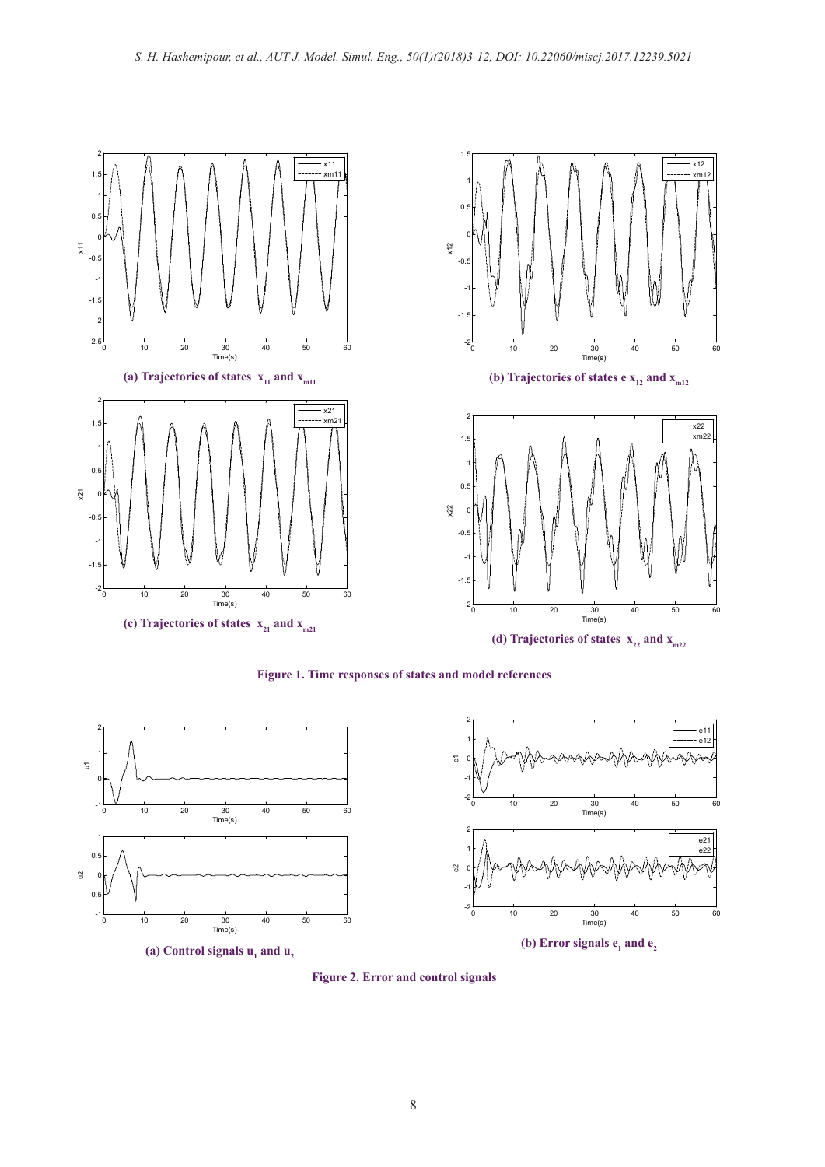

**Figure 1. Time responses of states and model references** 



**Figure 2. Error and control signals**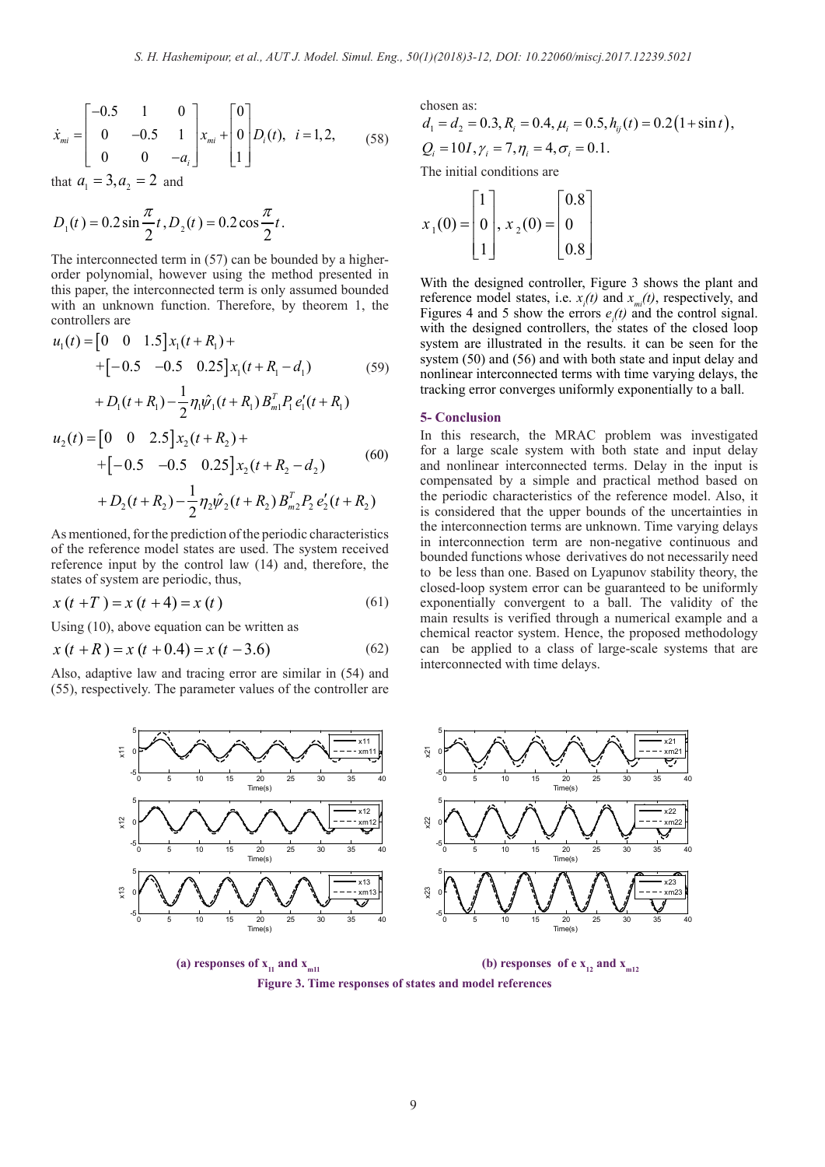$$
\dot{x}_{mi} = \begin{bmatrix} -0.5 & 1 & 0 \\ 0 & -0.5 & 1 \\ 0 & 0 & -a_i \end{bmatrix} x_{mi} + \begin{bmatrix} 0 \\ 0 \\ 1 \end{bmatrix} D_i(t), \quad i = 1, 2, \quad (58)
$$

that  $a_1 = 3, a_2 = 2$  and

$$
D_1(t) = 0.2 \sin \frac{\pi}{2} t, D_2(t) = 0.2 \cos \frac{\pi}{2} t.
$$

The interconnected term in (57) can be bounded by a higherorder polynomial, however using the method presented in this paper, the interconnected term is only assumed bounded with an unknown function. Therefore, by theorem 1, the controllers are

$$
u_1(t) = \begin{bmatrix} 0 & 0 & 1.5 \end{bmatrix} x_1(t + R_1) +
$$
  
+ 
$$
\begin{bmatrix} -0.5 & -0.5 & 0.25 \end{bmatrix} x_1(t + R_1 - d_1)
$$
 (59)

$$
+ D_1(t+R_1) - \frac{1}{2} \eta_1 \hat{\psi}_1(t+R_1) B_{m1}^T P_1 e_1'(t+R_1)
$$

$$
u_2(t) = [0 \t 0 \t 2.5]x_2(t+R_2) +
$$
  
+[-0.5 -0.5 0.25]x<sub>2</sub>(t+R<sub>2</sub>-d<sub>2</sub>) (60)  
+D<sub>2</sub>(t+R<sub>2</sub>) -  $\frac{1}{2}$ η<sub>2</sub>ψ̄<sub>2</sub>(t+R<sub>2</sub>) B<sub>m2</sub><sup>T</sup> P<sub>2</sub> e'<sub>2</sub>(t+R<sub>2</sub>)

As mentioned, for the prediction of the periodic characteristics of the reference model states are used. The system received reference input by the control law (14) and, therefore, the states of system are periodic, thus,

$$
x(t+T) = x(t+4) = x(t)
$$
 (61)

Using (10), above equation can be written as

$$
x(t+R) = x(t+0.4) = x(t-3.6)
$$
 (62)

Also, adaptive law and tracing error are similar in (54) and (55), respectively. The parameter values of the controller are chosen as:  $d_1 = d_2 = 0.3, R_i = 0.4, \mu_i = 0.5, h_{ij}(t) = 0.2(1 + \sin t),$  $Q_i = 10I, \gamma_i = 7, \eta_i = 4, \sigma_i = 0.1.$ 

The initial conditions are

$$
x_1(0) = \begin{bmatrix} 1 \\ 0 \\ 1 \end{bmatrix}, x_2(0) = \begin{bmatrix} 0.8 \\ 0 \\ 0.8 \end{bmatrix}
$$

With the designed controller, Figure 3 shows the plant and reference model states, i.e.  $x_i(t)$  and  $x_{mi}(t)$ , respectively, and Figures 4 and 5 show the errors  $e_i(t)$  and the control signal. with the designed controllers, the states of the closed loop system are illustrated in the results. it can be seen for the system (50) and (56) and with both state and input delay and nonlinear interconnected terms with time varying delays, the tracking error converges uniformly exponentially to a ball.

### **5- Conclusion**

In this research, the MRAC problem was investigated for a large scale system with both state and input delay and nonlinear interconnected terms. Delay in the input is compensated by a simple and practical method based on the periodic characteristics of the reference model. Also, it is considered that the upper bounds of the uncertainties in the interconnection terms are unknown. Time varying delays in interconnection term are non-negative continuous and bounded functions whose derivatives do not necessarily need to be less than one. Based on Lyapunov stability theory, the closed-loop system error can be guaranteed to be uniformly exponentially convergent to a ball. The validity of the main results is verified through a numerical example and a chemical reactor system. Hence, the proposed methodology can be applied to a class of large-scale systems that are interconnected with time delays.



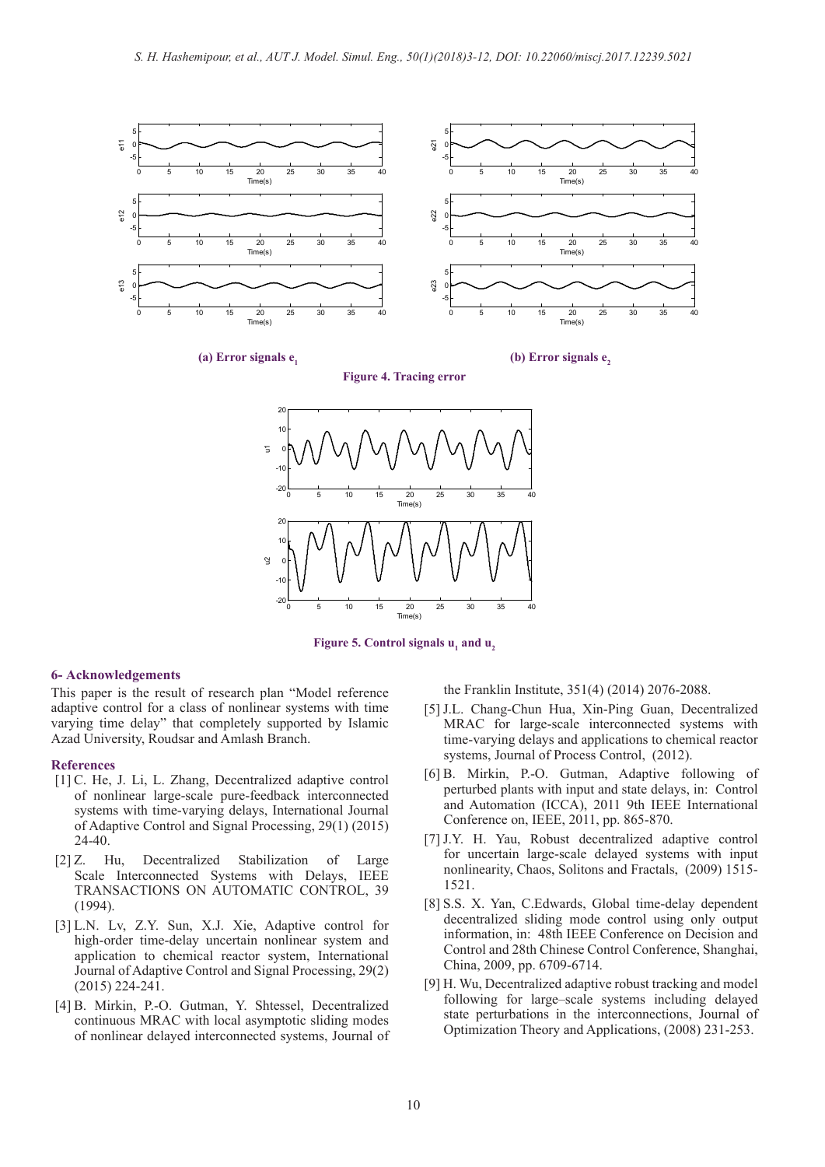

**(a) Error signals**  $e_1$  **<b>(b) Error signals e**<sub>2</sub>





**Figure 5. Control signals**  $u_1$  **and**  $u_2$ 

#### **6- Acknowledgements**

This paper is the result of research plan "Model reference adaptive control for a class of nonlinear systems with time varying time delay" that completely supported by Islamic Azad University, Roudsar and Amlash Branch.

#### **References**

- [1] C. He, J. Li, L. Zhang, Decentralized adaptive control of nonlinear large‐scale pure‐feedback interconnected systems with time‐varying delays, International Journal of Adaptive Control and Signal Processing, 29(1) (2015) 24-40.
- [2] Z. Hu, Decentralized Stabilization of Large Scale Interconnected Systems with Delays, IEEE TRANSACTIONS ON AUTOMATIC CONTROL, 39 (1994).
- [3] L.N. Lv, Z.Y. Sun, X.J. Xie, Adaptive control for high-order time-delay uncertain nonlinear system and application to chemical reactor system, International Journal of Adaptive Control and Signal Processing, 29(2) (2015) 224-241.
- [4] B. Mirkin, P.-O. Gutman, Y. Shtessel, Decentralized continuous MRAC with local asymptotic sliding modes of nonlinear delayed interconnected systems, Journal of

the Franklin Institute, 351(4) (2014) 2076-2088.

- [5] J.L. Chang-Chun Hua, Xin-Ping Guan, Decentralized MRAC for large-scale interconnected systems with time-varying delays and applications to chemical reactor systems, Journal of Process Control, (2012).
- [6] B. Mirkin, P.-O. Gutman, Adaptive following of perturbed plants with input and state delays, in: Control and Automation (ICCA), 2011 9th IEEE International Conference on, IEEE, 2011, pp. 865-870.
- [7] J.Y. H. Yau, Robust decentralized adaptive control for uncertain large-scale delayed systems with input nonlinearity, Chaos, Solitons and Fractals, (2009) 1515- 1521.
- [8] S.S. X. Yan, C.Edwards, Global time-delay dependent decentralized sliding mode control using only output information, in: 48th IEEE Conference on Decision and Control and 28th Chinese Control Conference, Shanghai, China, 2009, pp. 6709-6714.
- [9] H. Wu, Decentralized adaptive robust tracking and model following for large–scale systems including delayed state perturbations in the interconnections, Journal of Optimization Theory and Applications, (2008) 231-253.